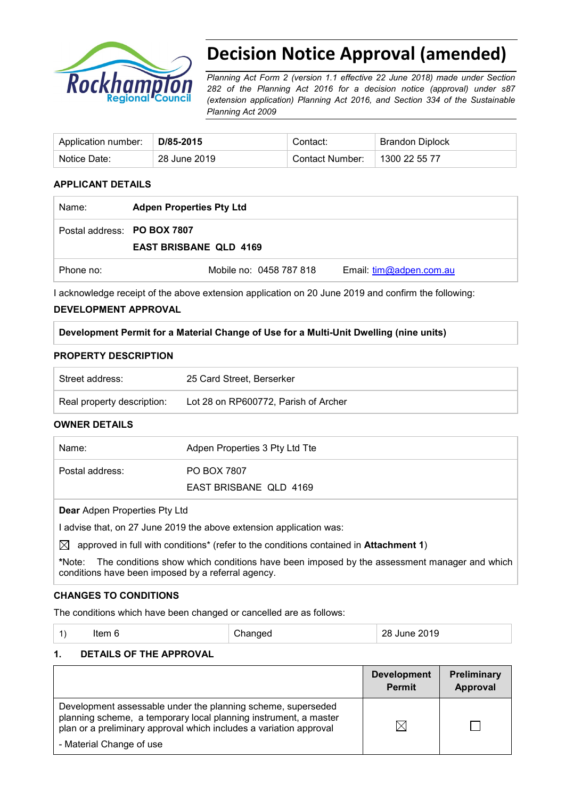

# **Decision Notice Approval (amended)**

*Planning Act Form 2 (version 1.1 effective 22 June 2018) made under Section 282 of the Planning Act 2016 for a decision notice (approval) under s87 (extension application) Planning Act 2016, and Section 334 of the Sustainable Planning Act 2009*

| Application number: | D/85-2015    | Contact:        | <b>Brandon Diplock</b> |
|---------------------|--------------|-----------------|------------------------|
| Notice Date:        | 28 June 2019 | Contact Number: | 1300 22 55 77          |

### **APPLICANT DETAILS**

| Name:                       | <b>Adpen Properties Pty Ltd</b> |                         |
|-----------------------------|---------------------------------|-------------------------|
| Postal address: PO BOX 7807 | <b>EAST BRISBANE QLD 4169</b>   |                         |
| Phone no:                   | Mobile no: 0458 787 818         | Email: tim@adpen.com.au |

I acknowledge receipt of the above extension application on 20 June 2019 and confirm the following:

#### **DEVELOPMENT APPROVAL**

#### **Development Permit for a Material Change of Use for a Multi-Unit Dwelling (nine units)**

#### **PROPERTY DESCRIPTION**

| Street address:            | 25 Card Street, Berserker            |
|----------------------------|--------------------------------------|
| Real property description: | Lot 28 on RP600772, Parish of Archer |

#### **OWNER DETAILS**

| Name:           | Adpen Properties 3 Pty Ltd Tte |
|-----------------|--------------------------------|
| Postal address: | <b>PO BOX 7807</b>             |
|                 | EAST BRISBANE QLD 4169         |
|                 |                                |

#### **Dear** Adpen Properties Pty Ltd

I advise that, on 27 June 2019 the above extension application was:

 $\boxtimes$  approved in full with conditions<sup>\*</sup> (refer to the conditions contained in **Attachment 1**)

**\***Note:The conditions show which conditions have been imposed by the assessment manager and which conditions have been imposed by a referral agency.

#### **CHANGES TO CONDITIONS**

The conditions which have been changed or cancelled are as follows:

| Changed<br>28 June 2019<br>Item 6 |
|-----------------------------------|
|-----------------------------------|

#### **1. DETAILS OF THE APPROVAL**

|                                                                                                                                                                                                        | <b>Development</b><br><b>Permit</b> | <b>Preliminary</b><br>Approval |
|--------------------------------------------------------------------------------------------------------------------------------------------------------------------------------------------------------|-------------------------------------|--------------------------------|
| Development assessable under the planning scheme, superseded<br>planning scheme, a temporary local planning instrument, a master<br>plan or a preliminary approval which includes a variation approval | IX                                  |                                |
| - Material Change of use                                                                                                                                                                               |                                     |                                |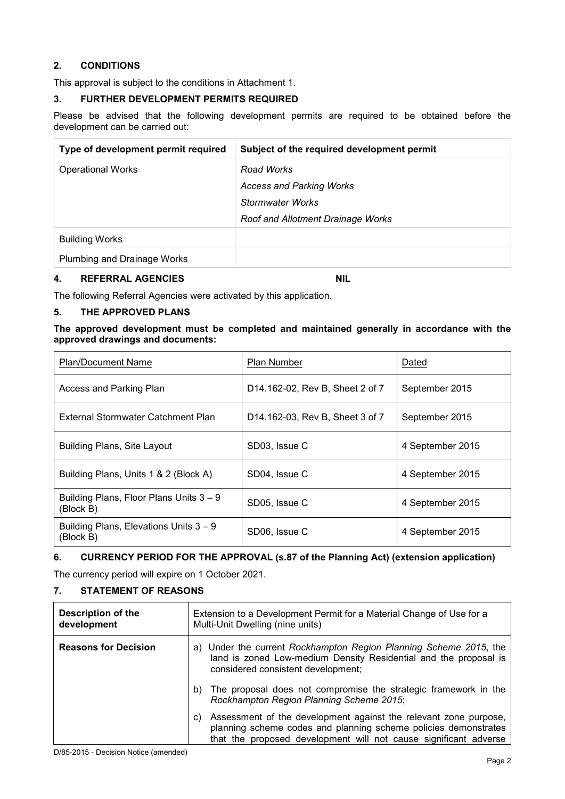### **2. CONDITIONS**

This approval is subject to the conditions in Attachment 1.

### **3. FURTHER DEVELOPMENT PERMITS REQUIRED**

Please be advised that the following development permits are required to be obtained before the development can be carried out:

| Type of development permit required | Subject of the required development permit |
|-------------------------------------|--------------------------------------------|
| <b>Operational Works</b>            | Road Works                                 |
|                                     | <b>Access and Parking Works</b>            |
|                                     | Stormwater Works                           |
|                                     | Roof and Allotment Drainage Works          |
| <b>Building Works</b>               |                                            |
| Plumbing and Drainage Works         |                                            |

#### **4. REFERRAL AGENCIES NIL**

The following Referral Agencies were activated by this application.

#### **5. THE APPROVED PLANS**

#### **The approved development must be completed and maintained generally in accordance with the approved drawings and documents:**

| <b>Plan/Document Name</b>                             | Plan Number                     | Dated            |
|-------------------------------------------------------|---------------------------------|------------------|
| Access and Parking Plan                               | D14.162-02, Rev B, Sheet 2 of 7 | September 2015   |
| External Stormwater Catchment Plan                    | D14.162-03, Rev B, Sheet 3 of 7 | September 2015   |
| <b>Building Plans, Site Layout</b>                    | SD03, Issue C                   | 4 September 2015 |
| Building Plans, Units 1 & 2 (Block A)                 | SD04, Issue C                   | 4 September 2015 |
| Building Plans, Floor Plans Units 3 – 9<br>(Block B)  | SD05, Issue C                   | 4 September 2015 |
| Building Plans, Elevations Units $3 - 9$<br>(Block B) | SD06, Issue C                   | 4 September 2015 |

### **6. CURRENCY PERIOD FOR THE APPROVAL (s.87 of the Planning Act) (extension application)**

The currency period will expire on 1 October 2021.

### **7. STATEMENT OF REASONS**

| <b>Description of the</b><br>development | Extension to a Development Permit for a Material Change of Use for a<br>Multi-Unit Dwelling (nine units)                                                                                                      |  |
|------------------------------------------|---------------------------------------------------------------------------------------------------------------------------------------------------------------------------------------------------------------|--|
| <b>Reasons for Decision</b>              | a) Under the current Rockhampton Region Planning Scheme 2015, the<br>land is zoned Low-medium Density Residential and the proposal is<br>considered consistent development;                                   |  |
|                                          | The proposal does not compromise the strategic framework in the<br>b)<br>Rockhampton Region Planning Scheme 2015;                                                                                             |  |
|                                          | Assessment of the development against the relevant zone purpose,<br>C)<br>planning scheme codes and planning scheme policies demonstrates<br>that the proposed development will not cause significant adverse |  |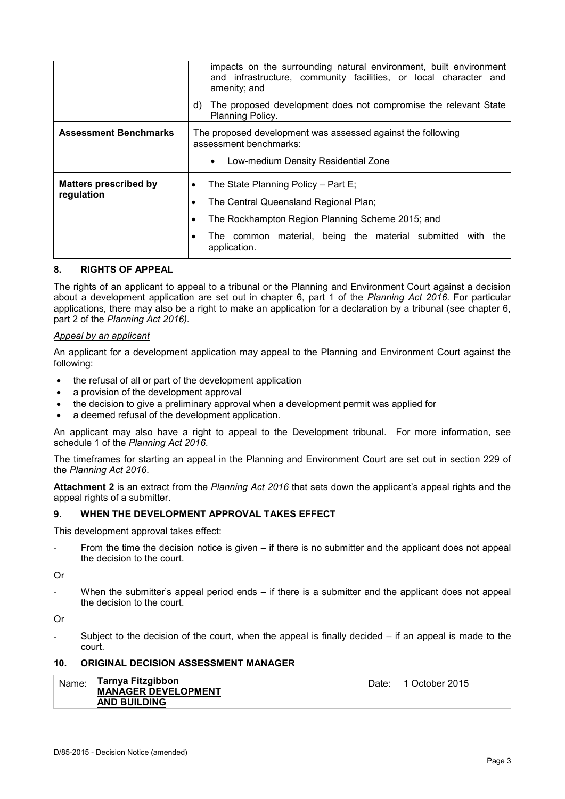|                                            | impacts on the surrounding natural environment, built environment<br>and infrastructure, community facilities, or local character and<br>amenity; and<br>The proposed development does not compromise the relevant State<br>d)<br>Planning Policy. |  |  |
|--------------------------------------------|----------------------------------------------------------------------------------------------------------------------------------------------------------------------------------------------------------------------------------------------------|--|--|
| <b>Assessment Benchmarks</b>               | The proposed development was assessed against the following<br>assessment benchmarks:<br>Low-medium Density Residential Zone<br>$\bullet$                                                                                                          |  |  |
| <b>Matters prescribed by</b><br>regulation | The State Planning Policy – Part E;<br>The Central Queensland Regional Plan;<br>The Rockhampton Region Planning Scheme 2015; and<br>The common material, being the material submitted with the<br>application.                                     |  |  |

#### **8. RIGHTS OF APPEAL**

The rights of an applicant to appeal to a tribunal or the Planning and Environment Court against a decision about a development application are set out in chapter 6, part 1 of the *Planning Act 2016*. For particular applications, there may also be a right to make an application for a declaration by a tribunal (see chapter 6, part 2 of the *Planning Act 2016).*

#### *Appeal by an applicant*

An applicant for a development application may appeal to the Planning and Environment Court against the following:

- the refusal of all or part of the development application
- a provision of the development approval
- the decision to give a preliminary approval when a development permit was applied for
- a deemed refusal of the development application.

An applicant may also have a right to appeal to the Development tribunal. For more information, see schedule 1 of the *Planning Act 2016*.

The timeframes for starting an appeal in the Planning and Environment Court are set out in section 229 of the *Planning Act 2016*.

**Attachment 2** is an extract from the *Planning Act 2016* that sets down the applicant's appeal rights and the appeal rights of a submitter.

#### **9. WHEN THE DEVELOPMENT APPROVAL TAKES EFFECT**

This development approval takes effect:

From the time the decision notice is given – if there is no submitter and the applicant does not appeal the decision to the court.

Or

When the submitter's appeal period ends  $-$  if there is a submitter and the applicant does not appeal the decision to the court.

Or

Subject to the decision of the court, when the appeal is finally decided  $-$  if an appeal is made to the court.

#### **10. ORIGINAL DECISION ASSESSMENT MANAGER**

| ˈ <sub>Name:</sub> Tarnya Fitzgibbon<br><b>MANAGER DEVELOPMENT</b> |  | Date: 1 October 2015 |
|--------------------------------------------------------------------|--|----------------------|
| <b>AND BUILDING</b>                                                |  |                      |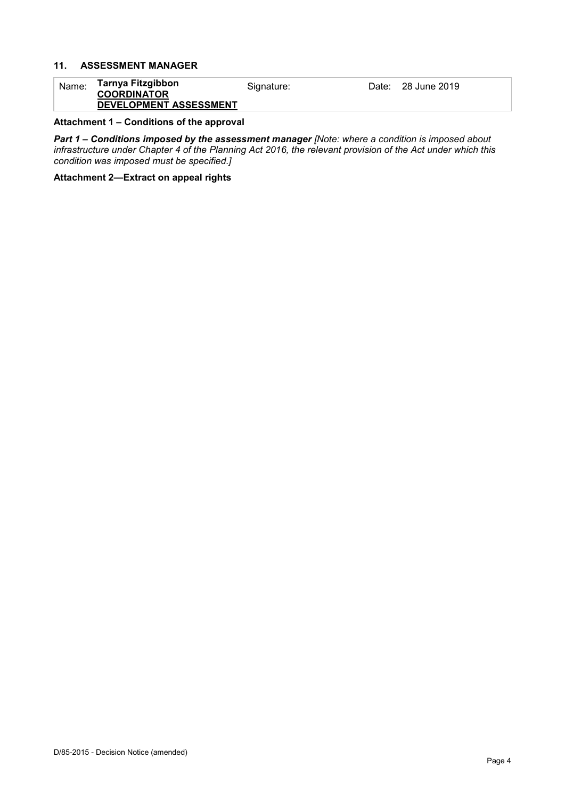#### **11. ASSESSMENT MANAGER**

#### Name: **Tarnya Fitzgibbon COORDINATOR DEVELOPMENT ASSESSMENT** Signature: Date: 28 June 2019

#### **Attachment 1 – Conditions of the approval**

*Part 1* **–** *Conditions imposed by the assessment manager [Note: where a condition is imposed about infrastructure under Chapter 4 of the Planning Act 2016, the relevant provision of the Act under which this condition was imposed must be specified.]*

**Attachment 2—Extract on appeal rights**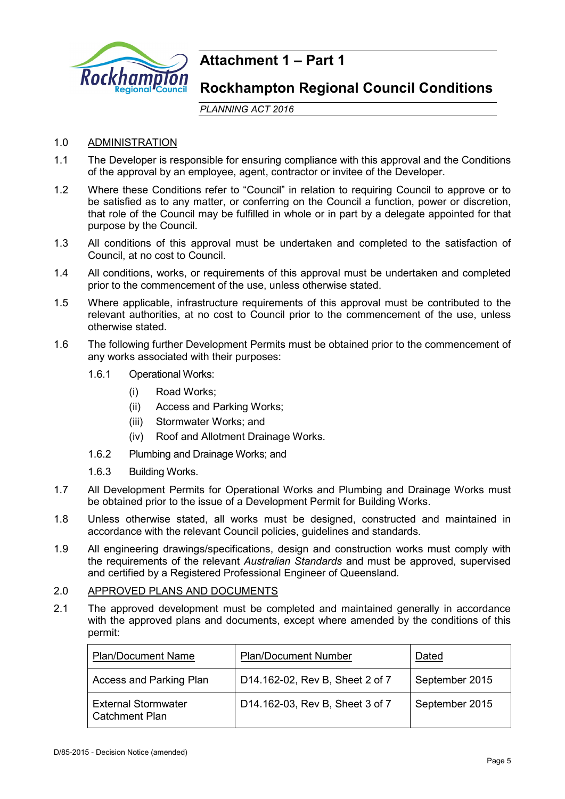

## **Attachment 1 – Part 1**

### **Rockhampton Regional Council Conditions**

*PLANNING ACT 2016*

### 1.0 ADMINISTRATION

- 1.1 The Developer is responsible for ensuring compliance with this approval and the Conditions of the approval by an employee, agent, contractor or invitee of the Developer.
- 1.2 Where these Conditions refer to "Council" in relation to requiring Council to approve or to be satisfied as to any matter, or conferring on the Council a function, power or discretion, that role of the Council may be fulfilled in whole or in part by a delegate appointed for that purpose by the Council.
- 1.3 All conditions of this approval must be undertaken and completed to the satisfaction of Council, at no cost to Council.
- 1.4 All conditions, works, or requirements of this approval must be undertaken and completed prior to the commencement of the use, unless otherwise stated.
- 1.5 Where applicable, infrastructure requirements of this approval must be contributed to the relevant authorities, at no cost to Council prior to the commencement of the use, unless otherwise stated.
- 1.6 The following further Development Permits must be obtained prior to the commencement of any works associated with their purposes:
	- 1.6.1 Operational Works:
		- (i) Road Works;
		- (ii) Access and Parking Works;
		- (iii) Stormwater Works; and
		- (iv) Roof and Allotment Drainage Works.
	- 1.6.2 Plumbing and Drainage Works; and
	- 1.6.3 Building Works.
- 1.7 All Development Permits for Operational Works and Plumbing and Drainage Works must be obtained prior to the issue of a Development Permit for Building Works.
- 1.8 Unless otherwise stated, all works must be designed, constructed and maintained in accordance with the relevant Council policies, guidelines and standards.
- 1.9 All engineering drawings/specifications, design and construction works must comply with the requirements of the relevant *Australian Standards* and must be approved, supervised and certified by a Registered Professional Engineer of Queensland.

### 2.0 APPROVED PLANS AND DOCUMENTS

2.1 The approved development must be completed and maintained generally in accordance with the approved plans and documents, except where amended by the conditions of this permit:

| <b>Plan/Document Name</b>                           | <b>Plan/Document Number</b>     | Dated          |
|-----------------------------------------------------|---------------------------------|----------------|
| Access and Parking Plan                             | D14.162-02, Rev B, Sheet 2 of 7 | September 2015 |
| <b>External Stormwater</b><br><b>Catchment Plan</b> | D14.162-03, Rev B, Sheet 3 of 7 | September 2015 |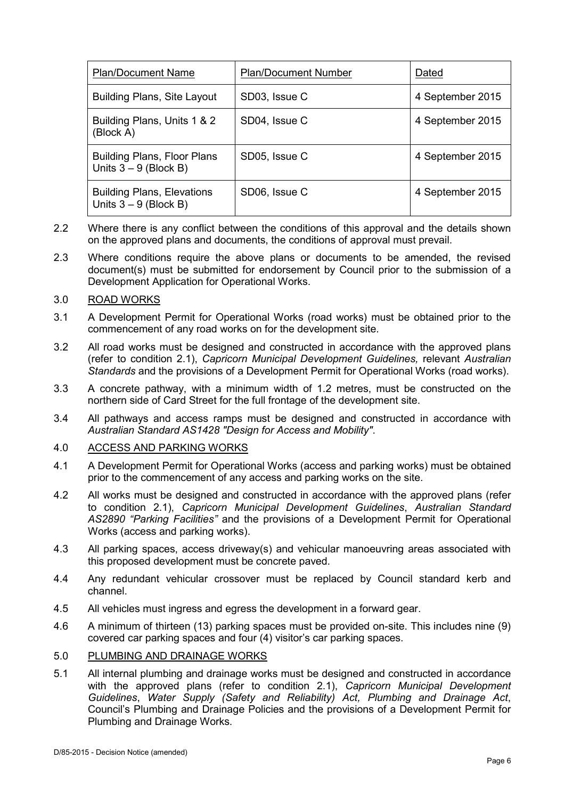| <b>Plan/Document Name</b>                                     | <b>Plan/Document Number</b> | Dated            |
|---------------------------------------------------------------|-----------------------------|------------------|
| <b>Building Plans, Site Layout</b>                            | SD03, Issue C               | 4 September 2015 |
| Building Plans, Units 1 & 2<br>(Block A)                      | SD04, Issue C               | 4 September 2015 |
| <b>Building Plans, Floor Plans</b><br>Units $3 - 9$ (Block B) | SD05, Issue C               | 4 September 2015 |
| <b>Building Plans, Elevations</b><br>Units $3 - 9$ (Block B)  | SD06, Issue C               | 4 September 2015 |

- 2.2 Where there is any conflict between the conditions of this approval and the details shown on the approved plans and documents, the conditions of approval must prevail.
- 2.3 Where conditions require the above plans or documents to be amended, the revised document(s) must be submitted for endorsement by Council prior to the submission of a Development Application for Operational Works.

#### 3.0 ROAD WORKS

- 3.1 A Development Permit for Operational Works (road works) must be obtained prior to the commencement of any road works on for the development site.
- 3.2 All road works must be designed and constructed in accordance with the approved plans (refer to condition 2.1), *Capricorn Municipal Development Guidelines,* relevant *Australian Standards* and the provisions of a Development Permit for Operational Works (road works).
- 3.3 A concrete pathway, with a minimum width of 1.2 metres, must be constructed on the northern side of Card Street for the full frontage of the development site.
- 3.4 All pathways and access ramps must be designed and constructed in accordance with *Australian Standard AS1428 "Design for Access and Mobility"*.

#### 4.0 ACCESS AND PARKING WORKS

- 4.1 A Development Permit for Operational Works (access and parking works) must be obtained prior to the commencement of any access and parking works on the site.
- 4.2 All works must be designed and constructed in accordance with the approved plans (refer to condition 2.1), *Capricorn Municipal Development Guidelines*, *Australian Standard AS2890 "Parking Facilities"* and the provisions of a Development Permit for Operational Works (access and parking works).
- 4.3 All parking spaces, access driveway(s) and vehicular manoeuvring areas associated with this proposed development must be concrete paved.
- 4.4 Any redundant vehicular crossover must be replaced by Council standard kerb and channel.
- 4.5 All vehicles must ingress and egress the development in a forward gear.
- 4.6 A minimum of thirteen (13) parking spaces must be provided on-site. This includes nine (9) covered car parking spaces and four (4) visitor's car parking spaces.

#### 5.0 PLUMBING AND DRAINAGE WORKS

5.1 All internal plumbing and drainage works must be designed and constructed in accordance with the approved plans (refer to condition 2.1), *Capricorn Municipal Development Guidelines*, *Water Supply (Safety and Reliability) Act, Plumbing and Drainage Act*, Council's Plumbing and Drainage Policies and the provisions of a Development Permit for Plumbing and Drainage Works.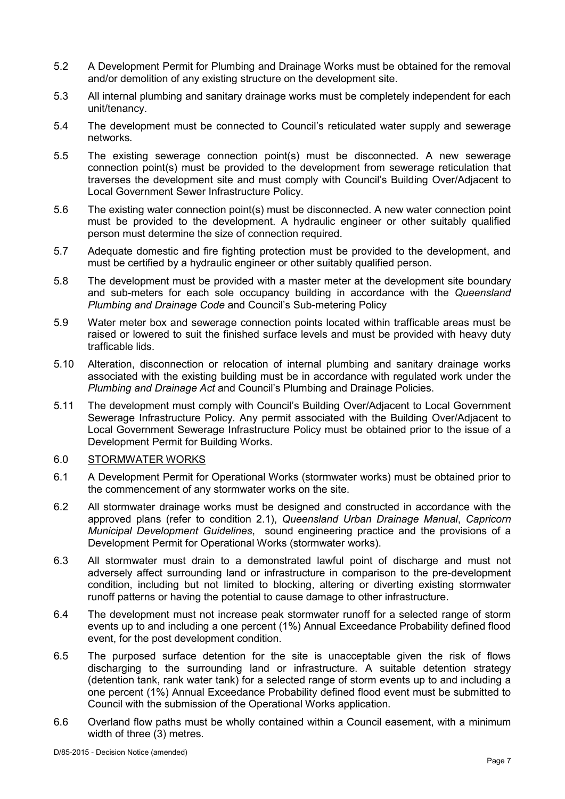- 5.2 A Development Permit for Plumbing and Drainage Works must be obtained for the removal and/or demolition of any existing structure on the development site.
- 5.3 All internal plumbing and sanitary drainage works must be completely independent for each unit/tenancy.
- 5.4 The development must be connected to Council's reticulated water supply and sewerage networks*.*
- 5.5 The existing sewerage connection point(s) must be disconnected. A new sewerage connection point(s) must be provided to the development from sewerage reticulation that traverses the development site and must comply with Council's Building Over/Adjacent to Local Government Sewer Infrastructure Policy.
- 5.6 The existing water connection point(s) must be disconnected. A new water connection point must be provided to the development. A hydraulic engineer or other suitably qualified person must determine the size of connection required.
- 5.7 Adequate domestic and fire fighting protection must be provided to the development, and must be certified by a hydraulic engineer or other suitably qualified person.
- 5.8 The development must be provided with a master meter at the development site boundary and sub-meters for each sole occupancy building in accordance with the *Queensland Plumbing and Drainage Code* and Council's Sub-metering Policy
- 5.9 Water meter box and sewerage connection points located within trafficable areas must be raised or lowered to suit the finished surface levels and must be provided with heavy duty trafficable lids.
- 5.10 Alteration, disconnection or relocation of internal plumbing and sanitary drainage works associated with the existing building must be in accordance with regulated work under the *Plumbing and Drainage Act* and Council's Plumbing and Drainage Policies.
- 5.11 The development must comply with Council's Building Over/Adjacent to Local Government Sewerage Infrastructure Policy. Any permit associated with the Building Over/Adjacent to Local Government Sewerage Infrastructure Policy must be obtained prior to the issue of a Development Permit for Building Works.

#### 6.0 STORMWATER WORKS

- 6.1 A Development Permit for Operational Works (stormwater works) must be obtained prior to the commencement of any stormwater works on the site.
- 6.2 All stormwater drainage works must be designed and constructed in accordance with the approved plans (refer to condition 2.1), *Queensland Urban Drainage Manual*, *Capricorn Municipal Development Guidelines*, sound engineering practice and the provisions of a Development Permit for Operational Works (stormwater works).
- 6.3 All stormwater must drain to a demonstrated lawful point of discharge and must not adversely affect surrounding land or infrastructure in comparison to the pre-development condition, including but not limited to blocking, altering or diverting existing stormwater runoff patterns or having the potential to cause damage to other infrastructure.
- 6.4 The development must not increase peak stormwater runoff for a selected range of storm events up to and including a one percent (1%) Annual Exceedance Probability defined flood event, for the post development condition.
- 6.5 The purposed surface detention for the site is unacceptable given the risk of flows discharging to the surrounding land or infrastructure. A suitable detention strategy (detention tank, rank water tank) for a selected range of storm events up to and including a one percent (1%) Annual Exceedance Probability defined flood event must be submitted to Council with the submission of the Operational Works application.
- 6.6 Overland flow paths must be wholly contained within a Council easement, with a minimum width of three (3) metres.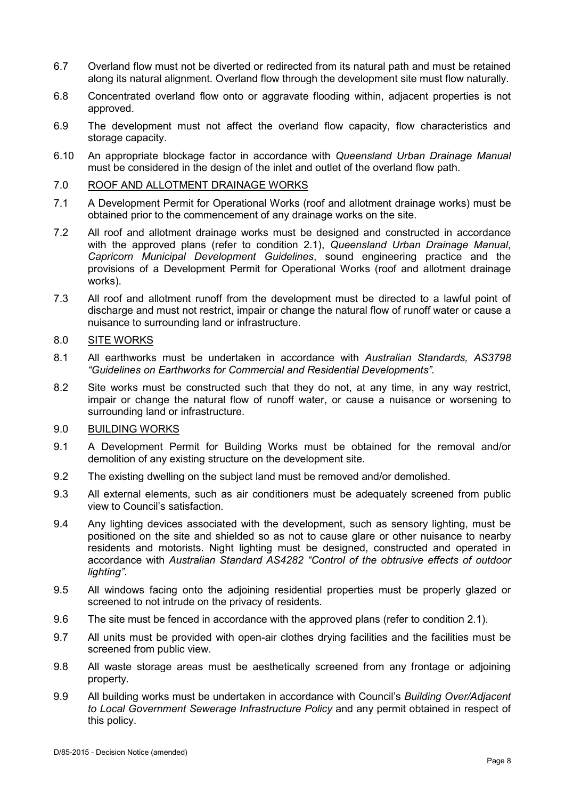- 6.7 Overland flow must not be diverted or redirected from its natural path and must be retained along its natural alignment. Overland flow through the development site must flow naturally.
- 6.8 Concentrated overland flow onto or aggravate flooding within, adjacent properties is not approved.
- 6.9 The development must not affect the overland flow capacity, flow characteristics and storage capacity.
- 6.10 An appropriate blockage factor in accordance with *Queensland Urban Drainage Manual* must be considered in the design of the inlet and outlet of the overland flow path.

#### 7.0 ROOF AND ALLOTMENT DRAINAGE WORKS

- 7.1 A Development Permit for Operational Works (roof and allotment drainage works) must be obtained prior to the commencement of any drainage works on the site.
- 7.2 All roof and allotment drainage works must be designed and constructed in accordance with the approved plans (refer to condition 2.1), *Queensland Urban Drainage Manual*, *Capricorn Municipal Development Guidelines*, sound engineering practice and the provisions of a Development Permit for Operational Works (roof and allotment drainage works).
- 7.3 All roof and allotment runoff from the development must be directed to a lawful point of discharge and must not restrict, impair or change the natural flow of runoff water or cause a nuisance to surrounding land or infrastructure.

### 8.0 SITE WORKS

- 8.1 All earthworks must be undertaken in accordance with *Australian Standards, AS3798 "Guidelines on Earthworks for Commercial and Residential Developments".*
- 8.2 Site works must be constructed such that they do not, at any time, in any way restrict, impair or change the natural flow of runoff water, or cause a nuisance or worsening to surrounding land or infrastructure.

### 9.0 BUILDING WORKS

- 9.1 A Development Permit for Building Works must be obtained for the removal and/or demolition of any existing structure on the development site.
- 9.2 The existing dwelling on the subject land must be removed and/or demolished.
- 9.3 All external elements, such as air conditioners must be adequately screened from public view to Council's satisfaction.
- 9.4 Any lighting devices associated with the development, such as sensory lighting, must be positioned on the site and shielded so as not to cause glare or other nuisance to nearby residents and motorists. Night lighting must be designed, constructed and operated in accordance with *Australian Standard AS4282 "Control of the obtrusive effects of outdoor lighting"*.
- 9.5 All windows facing onto the adjoining residential properties must be properly glazed or screened to not intrude on the privacy of residents.
- 9.6 The site must be fenced in accordance with the approved plans (refer to condition 2.1).
- 9.7 All units must be provided with open-air clothes drying facilities and the facilities must be screened from public view.
- 9.8 All waste storage areas must be aesthetically screened from any frontage or adjoining property.
- 9.9 All building works must be undertaken in accordance with Council's *Building Over/Adjacent to Local Government Sewerage Infrastructure Policy* and any permit obtained in respect of this policy.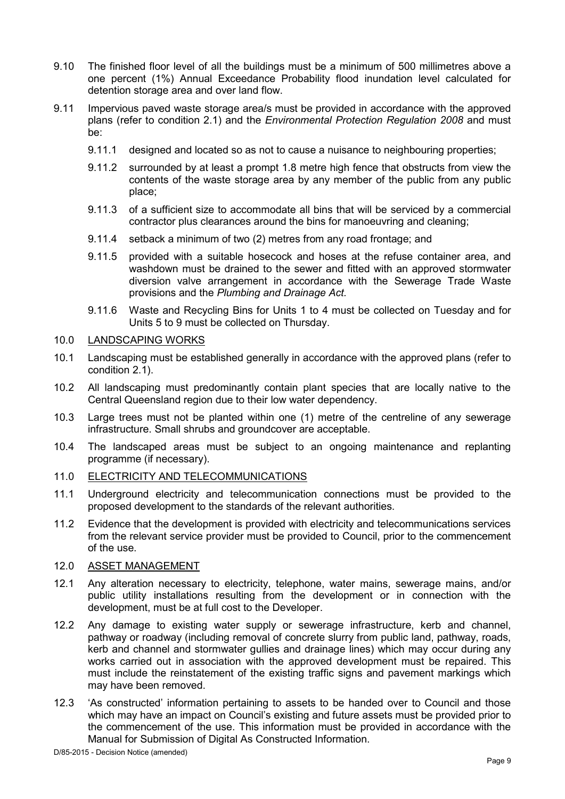- 9.10 The finished floor level of all the buildings must be a minimum of 500 millimetres above a one percent (1%) Annual Exceedance Probability flood inundation level calculated for detention storage area and over land flow.
- 9.11 Impervious paved waste storage area/s must be provided in accordance with the approved plans (refer to condition 2.1) and the *Environmental Protection Regulation 2008* and must be:
	- 9.11.1 designed and located so as not to cause a nuisance to neighbouring properties;
	- 9.11.2 surrounded by at least a prompt 1.8 metre high fence that obstructs from view the contents of the waste storage area by any member of the public from any public place;
	- 9.11.3 of a sufficient size to accommodate all bins that will be serviced by a commercial contractor plus clearances around the bins for manoeuvring and cleaning;
	- 9.11.4 setback a minimum of two (2) metres from any road frontage; and
	- 9.11.5 provided with a suitable hosecock and hoses at the refuse container area, and washdown must be drained to the sewer and fitted with an approved stormwater diversion valve arrangement in accordance with the Sewerage Trade Waste provisions and the *Plumbing and Drainage Act.*
	- 9.11.6 Waste and Recycling Bins for Units 1 to 4 must be collected on Tuesday and for Units 5 to 9 must be collected on Thursday.

#### 10.0 LANDSCAPING WORKS

- 10.1 Landscaping must be established generally in accordance with the approved plans (refer to condition 2.1).
- 10.2 All landscaping must predominantly contain plant species that are locally native to the Central Queensland region due to their low water dependency.
- 10.3 Large trees must not be planted within one (1) metre of the centreline of any sewerage infrastructure. Small shrubs and groundcover are acceptable.
- 10.4 The landscaped areas must be subject to an ongoing maintenance and replanting programme (if necessary).

#### 11.0 ELECTRICITY AND TELECOMMUNICATIONS

- 11.1 Underground electricity and telecommunication connections must be provided to the proposed development to the standards of the relevant authorities.
- 11.2 Evidence that the development is provided with electricity and telecommunications services from the relevant service provider must be provided to Council, prior to the commencement of the use.

#### 12.0 ASSET MANAGEMENT

- 12.1 Any alteration necessary to electricity, telephone, water mains, sewerage mains, and/or public utility installations resulting from the development or in connection with the development, must be at full cost to the Developer.
- 12.2 Any damage to existing water supply or sewerage infrastructure, kerb and channel, pathway or roadway (including removal of concrete slurry from public land, pathway, roads, kerb and channel and stormwater gullies and drainage lines) which may occur during any works carried out in association with the approved development must be repaired. This must include the reinstatement of the existing traffic signs and pavement markings which may have been removed.
- 12.3 'As constructed' information pertaining to assets to be handed over to Council and those which may have an impact on Council's existing and future assets must be provided prior to the commencement of the use. This information must be provided in accordance with the Manual for Submission of Digital As Constructed Information.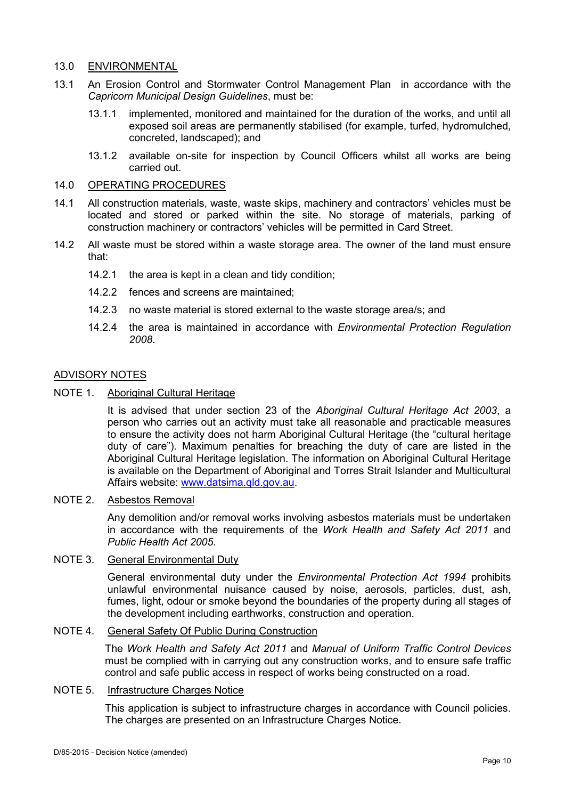#### 13.0 ENVIRONMENTAL

- 13.1 An Erosion Control and Stormwater Control Management Plan in accordance with the *Capricorn Municipal Design Guidelines*, must be:
	- 13.1.1 implemented, monitored and maintained for the duration of the works, and until all exposed soil areas are permanently stabilised (for example, turfed, hydromulched, concreted, landscaped); and
	- 13.1.2 available on-site for inspection by Council Officers whilst all works are being carried out.

#### 14.0 OPERATING PROCEDURES

- 14.1 All construction materials, waste, waste skips, machinery and contractors' vehicles must be located and stored or parked within the site. No storage of materials, parking of construction machinery or contractors' vehicles will be permitted in Card Street.
- 14.2 All waste must be stored within a waste storage area. The owner of the land must ensure that:
	- 14.2.1 the area is kept in a clean and tidy condition;
	- 14.2.2 fences and screens are maintained;
	- 14.2.3 no waste material is stored external to the waste storage area/s; and
	- 14.2.4 the area is maintained in accordance with *Environmental Protection Regulation 2008*.

#### ADVISORY NOTES

NOTE 1. Aboriginal Cultural Heritage

It is advised that under section 23 of the *Aboriginal Cultural Heritage Act 2003*, a person who carries out an activity must take all reasonable and practicable measures to ensure the activity does not harm Aboriginal Cultural Heritage (the "cultural heritage duty of care"). Maximum penalties for breaching the duty of care are listed in the Aboriginal Cultural Heritage legislation. The information on Aboriginal Cultural Heritage is available on the Department of Aboriginal and Torres Strait Islander and Multicultural Affairs website: [www.datsima.qld.gov.au.](http://www.datsima.qld.gov.au/)

#### NOTE 2. Asbestos Removal

Any demolition and/or removal works involving asbestos materials must be undertaken in accordance with the requirements of the *Work Health and Safety Act 2011* and *Public Health Act 2005*.

#### NOTE 3. General Environmental Duty

General environmental duty under the *Environmental Protection Act 1994* prohibits unlawful environmental nuisance caused by noise, aerosols, particles, dust, ash, fumes, light, odour or smoke beyond the boundaries of the property during all stages of the development including earthworks, construction and operation.

#### NOTE 4. General Safety Of Public During Construction

The *Work Health and Safety Act 2011* and *Manual of Uniform Traffic Control Devices* must be complied with in carrying out any construction works, and to ensure safe traffic control and safe public access in respect of works being constructed on a road.

#### NOTE 5. Infrastructure Charges Notice

This application is subject to infrastructure charges in accordance with Council policies. The charges are presented on an Infrastructure Charges Notice.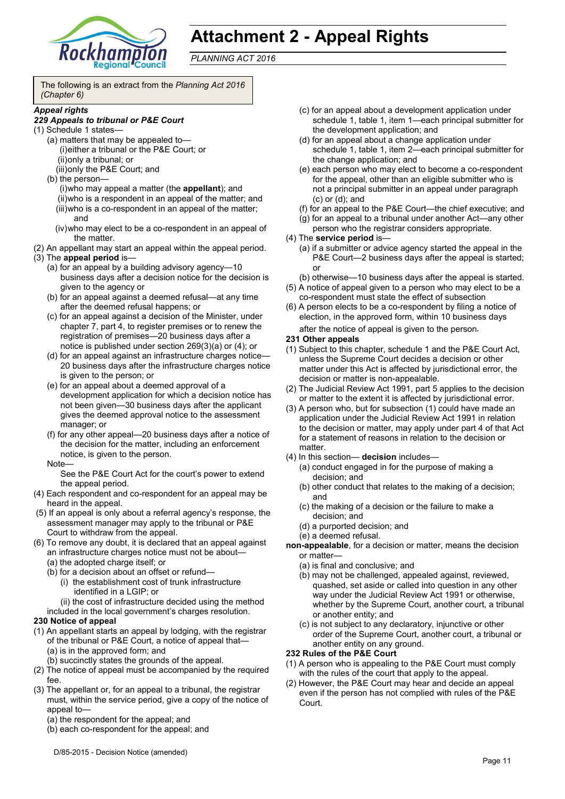

# **Attachment 2 - Appeal Rights**

*PLANNING ACT 2016*

The following is an extract from the *Planning Act 2016 (Chapter 6)*

#### *Appeal rights*

#### *229 Appeals to tribunal or P&E Court*

- (1) Schedule 1 states—
	- (a) matters that may be appealed to— (i)either a tribunal or the P&E Court; or (ii)only a tribunal; or
	- (iii)only the P&E Court; and (b) the person—

(i)who may appeal a matter (the **appellant**); and (ii)who is a respondent in an appeal of the matter; and (iii)who is a co-respondent in an appeal of the matter; and

- (iv)who may elect to be a co-respondent in an appeal of the matter.
- (2) An appellant may start an appeal within the appeal period.
- (3) The **appeal period** is—
	- (a) for an appeal by a building advisory agency—10 business days after a decision notice for the decision is given to the agency or
	- (b) for an appeal against a deemed refusal—at any time after the deemed refusal happens; or
	- (c) for an appeal against a decision of the Minister, under chapter 7, part 4, to register premises or to renew the registration of premises—20 business days after a notice is published under section 269(3)(a) or (4); or
	- (d) for an appeal against an infrastructure charges notice— 20 business days after the infrastructure charges notice is given to the person; or
	- (e) for an appeal about a deemed approval of a development application for which a decision notice has not been given—30 business days after the applicant gives the deemed approval notice to the assessment manager; or
	- (f) for any other appeal—20 business days after a notice of the decision for the matter, including an enforcement notice, is given to the person. Note—

See the P&E Court Act for the court's power to extend the appeal period.

- (4) Each respondent and co-respondent for an appeal may be heard in the appeal.
- (5) If an appeal is only about a referral agency's response, the assessment manager may apply to the tribunal or P&E Court to withdraw from the appeal.
- (6) To remove any doubt, it is declared that an appeal against
	- an infrastructure charges notice must not be about— (a) the adopted charge itself; or
	- (b) for a decision about an offset or refund—
		- (i) the establishment cost of trunk infrastructure identified in a LGIP; or
		- (ii) the cost of infrastructure decided using the method

included in the local government's charges resolution.

#### **230 Notice of appeal**

- (1) An appellant starts an appeal by lodging, with the registrar of the tribunal or P&E Court, a notice of appeal that—
	- (a) is in the approved form; and
	- (b) succinctly states the grounds of the appeal.
- (2) The notice of appeal must be accompanied by the required fee.
- (3) The appellant or, for an appeal to a tribunal, the registrar must, within the service period, give a copy of the notice of appeal to—
	- (a) the respondent for the appeal; and
	- (b) each co-respondent for the appeal; and
- (c) for an appeal about a development application under schedule 1, table 1, item 1—each principal submitter for the development application; and
- (d) for an appeal about a change application under schedule 1, table 1, item 2—each principal submitter for the change application; and
- (e) each person who may elect to become a co-respondent for the appeal, other than an eligible submitter who is not a principal submitter in an appeal under paragraph (c) or (d); and
- (f) for an appeal to the P&E Court—the chief executive; and
- (g) for an appeal to a tribunal under another Act—any other person who the registrar considers appropriate.
- (4) The **service period** is—
	- (a) if a submitter or advice agency started the appeal in the P&E Court—2 business days after the appeal is started; or
	- (b) otherwise—10 business days after the appeal is started.
- (5) A notice of appeal given to a person who may elect to be a co-respondent must state the effect of subsection
- (6) A person elects to be a co-respondent by filing a notice of election, in the approved form, within 10 business days after the notice of appeal is given to the person*.*
- **231 Other appeals**
- (1) Subject to this chapter, schedule 1 and the P&E Court Act, unless the Supreme Court decides a decision or other matter under this Act is affected by jurisdictional error, the decision or matter is non-appealable.
- (2) The Judicial Review Act 1991, part 5 applies to the decision or matter to the extent it is affected by jurisdictional error.
- (3) A person who, but for subsection (1) could have made an application under the Judicial Review Act 1991 in relation to the decision or matter, may apply under part 4 of that Act for a statement of reasons in relation to the decision or matter.
- (4) In this section— **decision** includes—
	- (a) conduct engaged in for the purpose of making a decision; and
	- (b) other conduct that relates to the making of a decision; and
	- (c) the making of a decision or the failure to make a decision; and
	- (d) a purported decision; and
	- (e) a deemed refusal.
- **non-appealable**, for a decision or matter, means the decision or matter—
	- (a) is final and conclusive; and
	- (b) may not be challenged, appealed against, reviewed, quashed, set aside or called into question in any other way under the Judicial Review Act 1991 or otherwise, whether by the Supreme Court, another court, a tribunal or another entity; and
	- (c) is not subject to any declaratory, injunctive or other order of the Supreme Court, another court, a tribunal or another entity on any ground.

#### **232 Rules of the P&E Court**

- (1) A person who is appealing to the P&E Court must comply with the rules of the court that apply to the appeal.
- (2) However, the P&E Court may hear and decide an appeal even if the person has not complied with rules of the P&E Court.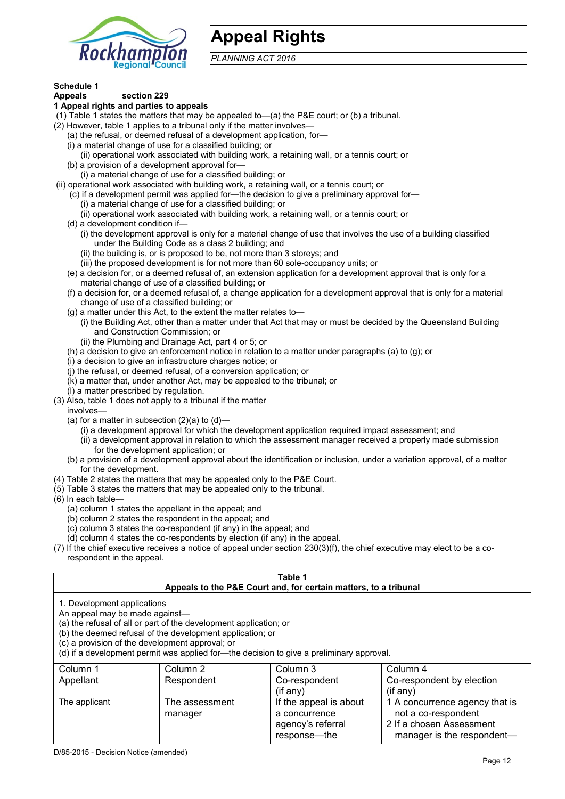

## **Appeal Rights**

*PLANNING ACT 2016*

## **Schedule 1**

#### **Appeals section 229 1 Appeal rights and parties to appeals**

- (1) Table 1 states the matters that may be appealed to—(a) the P&E court; or (b) a tribunal.
- (2) However, table 1 applies to a tribunal only if the matter involves—
	- (a) the refusal, or deemed refusal of a development application, for—
	- (i) a material change of use for a classified building; or
	- (ii) operational work associated with building work, a retaining wall, or a tennis court; or
	- (b) a provision of a development approval for—
	- (i) a material change of use for a classified building; or
- (ii) operational work associated with building work, a retaining wall, or a tennis court; or
	- (c) if a development permit was applied for—the decision to give a preliminary approval for—
		- (i) a material change of use for a classified building; or
		- (ii) operational work associated with building work, a retaining wall, or a tennis court; or
	- (d) a development condition if—
		- (i) the development approval is only for a material change of use that involves the use of a building classified under the Building Code as a class 2 building; and
		- (ii) the building is, or is proposed to be, not more than 3 storeys; and
		- (iii) the proposed development is for not more than 60 sole-occupancy units; or
	- (e) a decision for, or a deemed refusal of, an extension application for a development approval that is only for a material change of use of a classified building; or
	- (f) a decision for, or a deemed refusal of, a change application for a development approval that is only for a material change of use of a classified building; or
	- (g) a matter under this Act, to the extent the matter relates to—
		- (i) the Building Act, other than a matter under that Act that may or must be decided by the Queensland Building and Construction Commission; or
		- (ii) the Plumbing and Drainage Act, part 4 or 5; or
	- (h) a decision to give an enforcement notice in relation to a matter under paragraphs (a) to (g); or
	- (i) a decision to give an infrastructure charges notice; or
	- (j) the refusal, or deemed refusal, of a conversion application; or
	- (k) a matter that, under another Act, may be appealed to the tribunal; or
	- (l) a matter prescribed by regulation.
- (3) Also, table 1 does not apply to a tribunal if the matter
- involves—
	- (a) for a matter in subsection  $(2)(a)$  to  $(d)$ 
		- (i) a development approval for which the development application required impact assessment; and
		- (ii) a development approval in relation to which the assessment manager received a properly made submission for the development application; or
	- (b) a provision of a development approval about the identification or inclusion, under a variation approval, of a matter for the development.
- (4) Table 2 states the matters that may be appealed only to the P&E Court.
- (5) Table 3 states the matters that may be appealed only to the tribunal.
- (6) In each table—
	- (a) column 1 states the appellant in the appeal; and
	- (b) column 2 states the respondent in the appeal; and
	- (c) column 3 states the co-respondent (if any) in the appeal; and
	- (d) column 4 states the co-respondents by election (if any) in the appeal.
- (7) If the chief executive receives a notice of appeal under section 230(3)(f), the chief executive may elect to be a corespondent in the appeal.

| Table 1<br>Appeals to the P&E Court and, for certain matters, to a tribunal                                                                                                                                                                                                                                                                    |                |                        |                                |
|------------------------------------------------------------------------------------------------------------------------------------------------------------------------------------------------------------------------------------------------------------------------------------------------------------------------------------------------|----------------|------------------------|--------------------------------|
| 1. Development applications<br>An appeal may be made against-<br>(a) the refusal of all or part of the development application; or<br>(b) the deemed refusal of the development application; or<br>(c) a provision of the development approval; or<br>(d) if a development permit was applied for—the decision to give a preliminary approval. |                |                        |                                |
| Column 1                                                                                                                                                                                                                                                                                                                                       | Column 2       | Column 3               | Column 4                       |
| Appellant                                                                                                                                                                                                                                                                                                                                      | Respondent     | Co-respondent          | Co-respondent by election      |
|                                                                                                                                                                                                                                                                                                                                                |                | (if any)               | $(i$ f any)                    |
| The applicant                                                                                                                                                                                                                                                                                                                                  | The assessment | If the appeal is about | 1 A concurrence agency that is |
|                                                                                                                                                                                                                                                                                                                                                | manager        | a concurrence          | not a co-respondent            |
|                                                                                                                                                                                                                                                                                                                                                |                | agency's referral      | 2 If a chosen Assessment       |
|                                                                                                                                                                                                                                                                                                                                                |                | response---the         | manager is the respondent—     |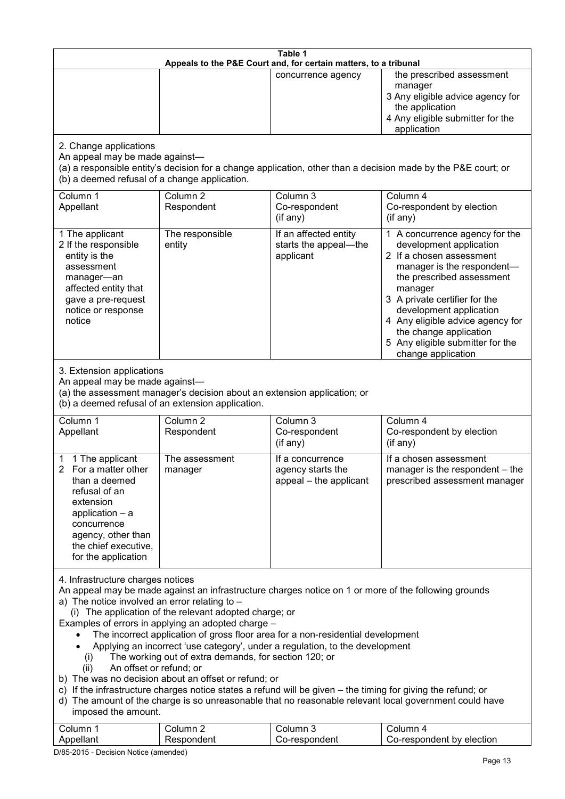| Table 1<br>Appeals to the P&E Court and, for certain matters, to a tribunal                                                                                                                     |                                                                                                                                                                                                                                                      |                                                                                                                                                                                                                                                                                                                                                                                                     |                                                                                                                                                                                                                                                                                                                                                 |
|-------------------------------------------------------------------------------------------------------------------------------------------------------------------------------------------------|------------------------------------------------------------------------------------------------------------------------------------------------------------------------------------------------------------------------------------------------------|-----------------------------------------------------------------------------------------------------------------------------------------------------------------------------------------------------------------------------------------------------------------------------------------------------------------------------------------------------------------------------------------------------|-------------------------------------------------------------------------------------------------------------------------------------------------------------------------------------------------------------------------------------------------------------------------------------------------------------------------------------------------|
|                                                                                                                                                                                                 |                                                                                                                                                                                                                                                      | concurrence agency                                                                                                                                                                                                                                                                                                                                                                                  | the prescribed assessment<br>manager<br>3 Any eligible advice agency for<br>the application<br>4 Any eligible submitter for the<br>application                                                                                                                                                                                                  |
| 2. Change applications<br>An appeal may be made against-<br>(b) a deemed refusal of a change application.                                                                                       |                                                                                                                                                                                                                                                      |                                                                                                                                                                                                                                                                                                                                                                                                     | (a) a responsible entity's decision for a change application, other than a decision made by the P&E court; or                                                                                                                                                                                                                                   |
| Column 1<br>Appellant                                                                                                                                                                           | Column <sub>2</sub><br>Respondent                                                                                                                                                                                                                    | Column 3<br>Co-respondent<br>(if any)                                                                                                                                                                                                                                                                                                                                                               | Column 4<br>Co-respondent by election<br>(if any)                                                                                                                                                                                                                                                                                               |
| 1 The applicant<br>2 If the responsible<br>entity is the<br>assessment<br>manager-an<br>affected entity that<br>gave a pre-request<br>notice or response<br>notice                              | The responsible<br>entity                                                                                                                                                                                                                            | If an affected entity<br>starts the appeal-the<br>applicant                                                                                                                                                                                                                                                                                                                                         | 1 A concurrence agency for the<br>development application<br>2 If a chosen assessment<br>manager is the respondent-<br>the prescribed assessment<br>manager<br>3 A private certifier for the<br>development application<br>4 Any eligible advice agency for<br>the change application<br>5 Any eligible submitter for the<br>change application |
| 3. Extension applications<br>An appeal may be made against-<br>(a) the assessment manager's decision about an extension application; or<br>(b) a deemed refusal of an extension application.    |                                                                                                                                                                                                                                                      |                                                                                                                                                                                                                                                                                                                                                                                                     |                                                                                                                                                                                                                                                                                                                                                 |
| Column 1<br>Appellant                                                                                                                                                                           | Column <sub>2</sub><br>Respondent                                                                                                                                                                                                                    | Column 3<br>Co-respondent<br>(if any)                                                                                                                                                                                                                                                                                                                                                               | Column 4<br>Co-respondent by election<br>(if any)                                                                                                                                                                                                                                                                                               |
| 1 The applicant<br>2 For a matter other<br>than a deemed<br>refusal of an<br>extension<br>application $-$ a<br>concurrence<br>agency, other than<br>the chief executive,<br>for the application | The assessment<br>manager                                                                                                                                                                                                                            | If a concurrence<br>agency starts the<br>appeal – the applicant                                                                                                                                                                                                                                                                                                                                     | If a chosen assessment<br>manager is the respondent - the<br>prescribed assessment manager                                                                                                                                                                                                                                                      |
| 4. Infrastructure charges notices<br>a) The notice involved an error relating to $-$<br>(i)<br>An offset or refund; or<br>(ii)<br>imposed the amount.<br>Column 1                               | (i) The application of the relevant adopted charge; or<br>Examples of errors in applying an adopted charge -<br>The working out of extra demands, for section 120; or<br>b) The was no decision about an offset or refund; or<br>Column <sub>2</sub> | An appeal may be made against an infrastructure charges notice on 1 or more of the following grounds<br>The incorrect application of gross floor area for a non-residential development<br>Applying an incorrect 'use category', under a regulation, to the development<br>c) If the infrastructure charges notice states a refund will be given – the timing for giving the refund; or<br>Column 3 | d) The amount of the charge is so unreasonable that no reasonable relevant local government could have<br>Column 4                                                                                                                                                                                                                              |
| Appellant                                                                                                                                                                                       | Respondent                                                                                                                                                                                                                                           | Co-respondent                                                                                                                                                                                                                                                                                                                                                                                       | Co-respondent by election                                                                                                                                                                                                                                                                                                                       |

D/85-2015 - Decision Notice (amended)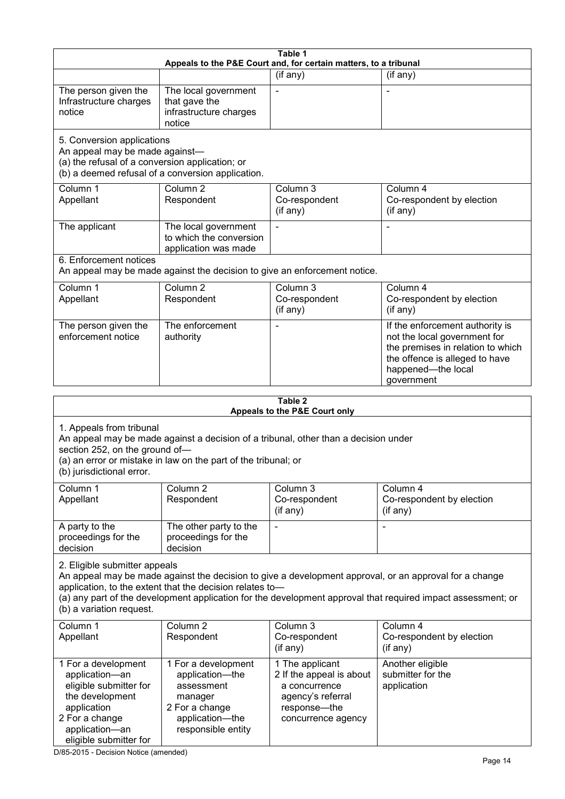|                                                                                                                                                                 |                                                                                                                                                       | Table 1<br>Appeals to the P&E Court and, for certain matters, to a tribunal                                             |                                                                                                                                                                                                                        |  |  |
|-----------------------------------------------------------------------------------------------------------------------------------------------------------------|-------------------------------------------------------------------------------------------------------------------------------------------------------|-------------------------------------------------------------------------------------------------------------------------|------------------------------------------------------------------------------------------------------------------------------------------------------------------------------------------------------------------------|--|--|
|                                                                                                                                                                 |                                                                                                                                                       | (if any)                                                                                                                | (if any)                                                                                                                                                                                                               |  |  |
| The person given the<br>Infrastructure charges<br>notice                                                                                                        | The local government<br>that gave the<br>infrastructure charges<br>notice                                                                             |                                                                                                                         |                                                                                                                                                                                                                        |  |  |
| 5. Conversion applications<br>An appeal may be made against-<br>(a) the refusal of a conversion application; or                                                 | (b) a deemed refusal of a conversion application.                                                                                                     |                                                                                                                         |                                                                                                                                                                                                                        |  |  |
| Column 1<br>Appellant                                                                                                                                           | Column <sub>2</sub><br>Respondent                                                                                                                     | Column 3<br>Co-respondent<br>(if any)                                                                                   | Column 4<br>Co-respondent by election<br>(if any)                                                                                                                                                                      |  |  |
| The applicant                                                                                                                                                   | The local government<br>to which the conversion<br>application was made                                                                               |                                                                                                                         |                                                                                                                                                                                                                        |  |  |
| 6. Enforcement notices                                                                                                                                          | An appeal may be made against the decision to give an enforcement notice.                                                                             |                                                                                                                         |                                                                                                                                                                                                                        |  |  |
| Column 1<br>Appellant                                                                                                                                           | Column <sub>2</sub><br>Respondent                                                                                                                     | Column 3<br>Co-respondent<br>(if any)                                                                                   | Column 4<br>Co-respondent by election<br>(if any)                                                                                                                                                                      |  |  |
| The person given the<br>enforcement notice                                                                                                                      | The enforcement<br>authority                                                                                                                          |                                                                                                                         | If the enforcement authority is<br>not the local government for<br>the premises in relation to which<br>the offence is alleged to have<br>happened-the local<br>government                                             |  |  |
|                                                                                                                                                                 |                                                                                                                                                       |                                                                                                                         |                                                                                                                                                                                                                        |  |  |
|                                                                                                                                                                 | Table 2<br>Appeals to the P&E Court only                                                                                                              |                                                                                                                         |                                                                                                                                                                                                                        |  |  |
| 1. Appeals from tribunal<br>section 252, on the ground of-<br>(b) jurisdictional error.                                                                         | An appeal may be made against a decision of a tribunal, other than a decision under<br>(a) an error or mistake in law on the part of the tribunal; or |                                                                                                                         |                                                                                                                                                                                                                        |  |  |
| Column 1<br>Appellant                                                                                                                                           | Column 2<br>Respondent                                                                                                                                | Column 3<br>Co-respondent<br>(if any)                                                                                   | Column 4<br>Co-respondent by election<br>(if any)                                                                                                                                                                      |  |  |
| A party to the<br>proceedings for the<br>decision                                                                                                               | The other party to the<br>proceedings for the<br>decision                                                                                             | $\blacksquare$                                                                                                          | $\overline{a}$                                                                                                                                                                                                         |  |  |
| 2. Eligible submitter appeals<br>(b) a variation request.                                                                                                       | application, to the extent that the decision relates to-                                                                                              |                                                                                                                         | An appeal may be made against the decision to give a development approval, or an approval for a change<br>(a) any part of the development application for the development approval that required impact assessment; or |  |  |
| Column 1<br>Appellant                                                                                                                                           | Column <sub>2</sub><br>Respondent                                                                                                                     | Column 3<br>Co-respondent<br>(if any)                                                                                   | Column 4<br>Co-respondent by election<br>(if any)                                                                                                                                                                      |  |  |
| 1 For a development<br>application-an<br>eligible submitter for<br>the development<br>application<br>2 For a change<br>application-an<br>eligible submitter for | 1 For a development<br>application-the<br>assessment<br>manager<br>2 For a change<br>application-the<br>responsible entity                            | 1 The applicant<br>2 If the appeal is about<br>a concurrence<br>agency's referral<br>response-the<br>concurrence agency | Another eligible<br>submitter for the<br>application                                                                                                                                                                   |  |  |

D/85-2015 - Decision Notice (amended)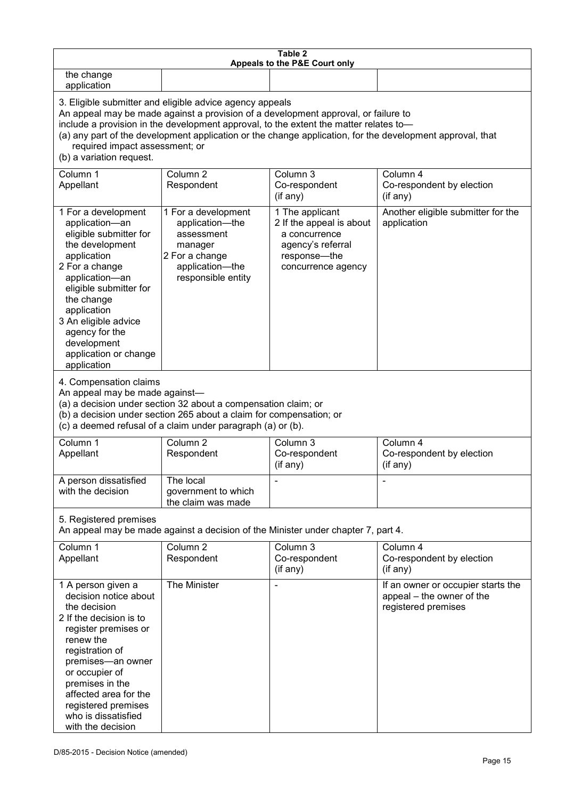| Table 2<br>Appeals to the P&E Court only                                                                                                                                                                                                                                                                                                                                                                           |                                                                                                                            |                                                                                                                         |                                                                                        |
|--------------------------------------------------------------------------------------------------------------------------------------------------------------------------------------------------------------------------------------------------------------------------------------------------------------------------------------------------------------------------------------------------------------------|----------------------------------------------------------------------------------------------------------------------------|-------------------------------------------------------------------------------------------------------------------------|----------------------------------------------------------------------------------------|
| the change<br>application                                                                                                                                                                                                                                                                                                                                                                                          |                                                                                                                            |                                                                                                                         |                                                                                        |
| 3. Eligible submitter and eligible advice agency appeals<br>An appeal may be made against a provision of a development approval, or failure to<br>include a provision in the development approval, to the extent the matter relates to-<br>(a) any part of the development application or the change application, for the development approval, that<br>required impact assessment; or<br>(b) a variation request. |                                                                                                                            |                                                                                                                         |                                                                                        |
| Column 1<br>Appellant                                                                                                                                                                                                                                                                                                                                                                                              | Column <sub>2</sub><br>Respondent                                                                                          | Column 3<br>Co-respondent<br>(if any)                                                                                   | Column 4<br>Co-respondent by election<br>(if any)                                      |
| 1 For a development<br>application-an<br>eligible submitter for<br>the development<br>application<br>2 For a change<br>application-an<br>eligible submitter for<br>the change<br>application<br>3 An eligible advice<br>agency for the<br>development<br>application or change<br>application                                                                                                                      | 1 For a development<br>application-the<br>assessment<br>manager<br>2 For a change<br>application-the<br>responsible entity | 1 The applicant<br>2 If the appeal is about<br>a concurrence<br>agency's referral<br>response-the<br>concurrence agency | Another eligible submitter for the<br>application                                      |
| 4. Compensation claims<br>An appeal may be made against-<br>(a) a decision under section 32 about a compensation claim; or<br>(b) a decision under section 265 about a claim for compensation; or<br>(c) a deemed refusal of a claim under paragraph (a) or (b).                                                                                                                                                   |                                                                                                                            |                                                                                                                         |                                                                                        |
| Column 1<br>Appellant                                                                                                                                                                                                                                                                                                                                                                                              | Column <sub>2</sub><br>Respondent                                                                                          | Column 3<br>Co-respondent<br>(if any)                                                                                   | Column 4<br>Co-respondent by election<br>(if any)                                      |
| A person dissatisfied<br>with the decision                                                                                                                                                                                                                                                                                                                                                                         | The local<br>government to which<br>the claim was made                                                                     |                                                                                                                         |                                                                                        |
| 5. Registered premises<br>An appeal may be made against a decision of the Minister under chapter 7, part 4.                                                                                                                                                                                                                                                                                                        |                                                                                                                            |                                                                                                                         |                                                                                        |
| Column 1<br>Appellant                                                                                                                                                                                                                                                                                                                                                                                              | Column <sub>2</sub><br>Respondent                                                                                          | Column 3<br>Co-respondent<br>(if any)                                                                                   | Column 4<br>Co-respondent by election<br>(if any)                                      |
| 1 A person given a<br>decision notice about<br>the decision<br>2 If the decision is to<br>register premises or<br>renew the<br>registration of<br>premises-an owner<br>or occupier of<br>premises in the<br>affected area for the<br>registered premises<br>who is dissatisfied<br>with the decision                                                                                                               | The Minister                                                                                                               |                                                                                                                         | If an owner or occupier starts the<br>appeal – the owner of the<br>registered premises |